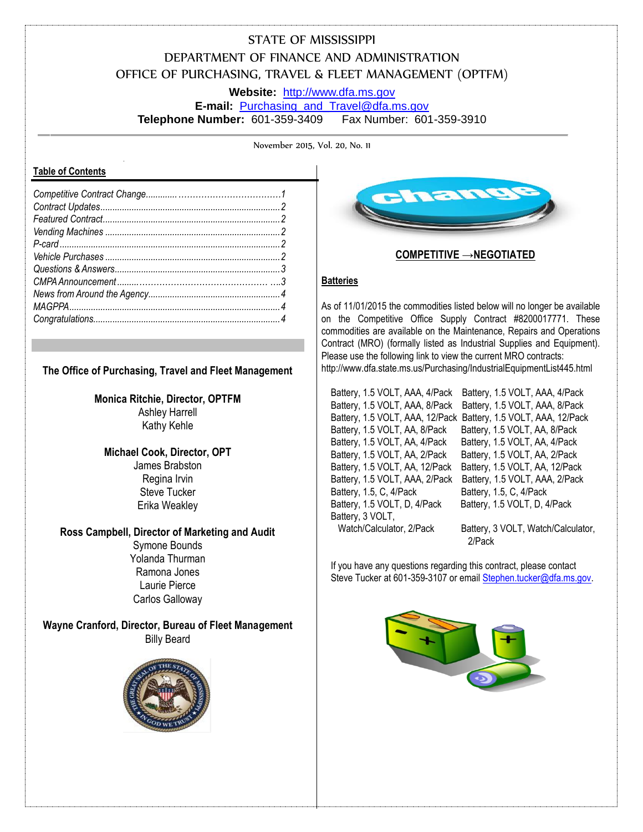# STATE OF MISSISSIPPI DEPARTMENT OF FINANCE AND ADMINISTRATION OFFICE OF PURCHASING, TRAVEL & FLEET MANAGEMENT (OPTFM)

**Website:** [http://www.dfa.ms.gov](http://www.dfa.ms.gov/)

**E-mail:** [Purchasing\\_and\\_Travel@dfa.ms.gov](mailto:Purchasing_and_Travel@dfa.ms.gov) **Telephone Number:** 601-359-3409 Fax Number: 601-359-3910

November 2015, Vol. 20, No. 11

#### **Table of Contents**

#### **The Office of Purchasing, Travel and Fleet Management**

#### **Monica Ritchie, Director, OPTFM** Ashley Harrell Kathy Kehle

#### **Michael Cook, Director, OPT** James Brabston Regina Irvin Steve Tucker

Erika Weakley

# **Ross Campbell, Director of Marketing and Audit**

Symone Bounds Yolanda Thurman Ramona Jones Laurie Pierce Carlos Galloway

**Wayne Cranford, Director, Bureau of Fleet Management** Billy Beard





# **COMPETITIVE →NEGOTIATED**

#### **Batteries**

As of 11/01/2015 the commodities listed below will no longer be available on the Competitive Office Supply Contract #8200017771. These commodities are available on the Maintenance, Repairs and Operations Contract (MRO) (formally listed as Industrial Supplies and Equipment). Please use the following link to view the current MRO contracts: http://www.dfa.state.ms.us/Purchasing/IndustrialEquipmentList445.html

Battery, 1.5 VOLT, AAA, 4/Pack Battery, 1.5 VOLT, AAA, 4/Pack Battery, 1.5, C, 4/Pack Battery, 1.5, C, 4/Pack Battery, 1.5 VOLT, D, 4/Pack Battery, 1.5 VOLT, D, 4/Pack Battery, 3 VOLT, Watch/Calculator, 2/Pack Battery, 3 VOLT, Watch/Calculator,

Battery, 1.5 VOLT, AAA, 8/Pack Battery, 1.5 VOLT, AAA, 8/Pack Battery, 1.5 VOLT, AAA, 12/Pack Battery, 1.5 VOLT, AAA, 12/Pack Battery, 1.5 VOLT, AA, 8/Pack Battery, 1.5 VOLT, AA, 8/Pack Battery, 1.5 VOLT, AA, 4/Pack Battery, 1.5 VOLT, AA, 4/Pack Battery, 1.5 VOLT, AA, 2/Pack Battery, 1.5 VOLT, AA, 2/Pack Battery, 1.5 VOLT, AA, 12/Pack Battery, 1.5 VOLT, AA, 12/Pack Battery, 1.5 VOLT, AAA, 2/Pack Battery, 1.5 VOLT, AAA, 2/Pack

2/Pack

If you have any questions regarding this contract, please contact Steve Tucker at 601-359-3107 or emai[l Stephen.tucker@dfa.ms.gov.](mailto:Stephen.tucker@dfa.ms.gov)

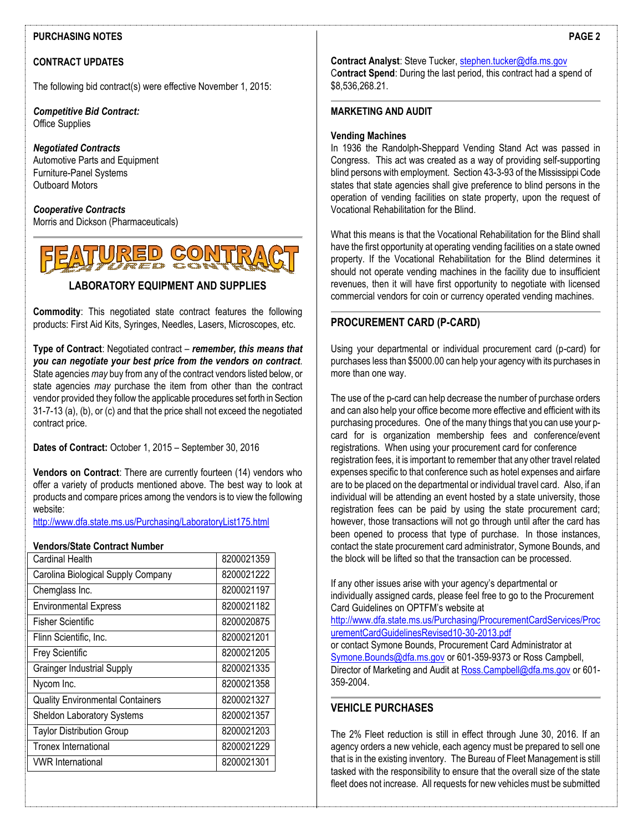#### **PURCHASING NOTES**

#### **CONTRACT UPDATES**

The following bid contract(s) were effective November 1, 2015:

*Competitive Bid Contract:* Office Supplies

# *Negotiated Contracts*

Automotive Parts and Equipment Furniture-Panel Systems Outboard Motors

*Cooperative Contracts* Morris and Dickson (Pharmaceuticals)



### **LABORATORY EQUIPMENT AND SUPPLIES**

**Commodity**: This negotiated state contract features the following products: First Aid Kits, Syringes, Needles, Lasers, Microscopes, etc.

**Type of Contract**: Negotiated contract – *remember, this means that you can negotiate your best price from the vendors on contract*. State agencies *may* buy from any of the contract vendors listed below, or state agencies *may* purchase the item from other than the contract vendor provided they follow the applicable procedures set forth in Section 31-7-13 (a), (b), or (c) and that the price shall not exceed the negotiated contract price.

**Dates of Contract:** October 1, 2015 – September 30, 2016

**Vendors on Contract**: There are currently fourteen (14) vendors who offer a variety of products mentioned above. The best way to look at products and compare prices among the vendors is to view the following website:

<http://www.dfa.state.ms.us/Purchasing/LaboratoryList175.html>

#### **Vendors/State Contract Number**

| Cardinal Health                         | 8200021359 |
|-----------------------------------------|------------|
| Carolina Biological Supply Company      | 8200021222 |
| Chemglass Inc.                          | 8200021197 |
| <b>Environmental Express</b>            | 8200021182 |
| Fisher Scientific                       | 8200020875 |
| Flinn Scientific, Inc.                  | 8200021201 |
| <b>Frey Scientific</b>                  | 8200021205 |
| <b>Grainger Industrial Supply</b>       | 8200021335 |
| Nycom Inc.                              | 8200021358 |
| <b>Quality Environmental Containers</b> | 8200021327 |
| <b>Sheldon Laboratory Systems</b>       | 8200021357 |
| <b>Taylor Distribution Group</b>        | 8200021203 |
| Tronex International                    | 8200021229 |
| <b>VWR</b> International                | 8200021301 |

**Contract Analyst**: Steve Tucker, [stephen.tucker@dfa.ms.gov](mailto:stephen.tucker@dfa.ms.gov) C**ontract Spend**: During the last period, this contract had a spend of \$8,536,268.21.

#### **MARKETING AND AUDIT**

#### **Vending Machines**

In 1936 the Randolph-Sheppard Vending Stand Act was passed in Congress. This act was created as a way of providing self-supporting blind persons with employment. Section 43-3-93 of the Mississippi Code states that state agencies shall give preference to blind persons in the operation of vending facilities on state property, upon the request of Vocational Rehabilitation for the Blind.

What this means is that the Vocational Rehabilitation for the Blind shall have the first opportunity at operating vending facilities on a state owned property. If the Vocational Rehabilitation for the Blind determines it should not operate vending machines in the facility due to insufficient revenues, then it will have first opportunity to negotiate with licensed commercial vendors for coin or currency operated vending machines.

#### **PROCUREMENT CARD (P-CARD)**

Using your departmental or individual procurement card (p-card) for purchases less than \$5000.00 can help your agency with its purchases in more than one way.

The use of the p-card can help decrease the number of purchase orders and can also help your office become more effective and efficient with its purchasing procedures. One of the many things that you can use your pcard for is organization membership fees and conference/event registrations. When using your procurement card for conference registration fees, it is important to remember that any other travel related expenses specific to that conference such as hotel expenses and airfare are to be placed on the departmental or individual travel card. Also, if an individual will be attending an event hosted by a state university, those registration fees can be paid by using the state procurement card; however, those transactions will not go through until after the card has been opened to process that type of purchase. In those instances, contact the state procurement card administrator, Symone Bounds, and the block will be lifted so that the transaction can be processed.

If any other issues arise with your agency's departmental or individually assigned cards, please feel free to go to the Procurement Card Guidelines on OPTFM's website at

[http://www.dfa.state.ms.us/Purchasing/ProcurementCardServices/Proc](http://www.dfa.state.ms.us/Purchasing/ProcurementCardServices/ProcurementCardGuidelinesRevised10-30-2013.pdf) [urementCardGuidelinesRevised10-30-2013.pdf](http://www.dfa.state.ms.us/Purchasing/ProcurementCardServices/ProcurementCardGuidelinesRevised10-30-2013.pdf)

or contact Symone Bounds, Procurement Card Administrator at [Symone.Bounds@dfa.ms.gov](mailto:Symone.Bounds@dfa.ms.gov) or 601-359-9373 or Ross Campbell, Director of Marketing and Audit a[t Ross.Campbell@dfa.ms.gov](mailto:Ross.Campbell@dfa.ms.gov) or 601- 359-2004.

#### **VEHICLE PURCHASES**

The 2% Fleet reduction is still in effect through June 30, 2016. If an agency orders a new vehicle, each agency must be prepared to sell one that is in the existing inventory. The Bureau of Fleet Management is still tasked with the responsibility to ensure that the overall size of the state fleet does not increase. All requests for new vehicles must be submitted

**PAGE 2**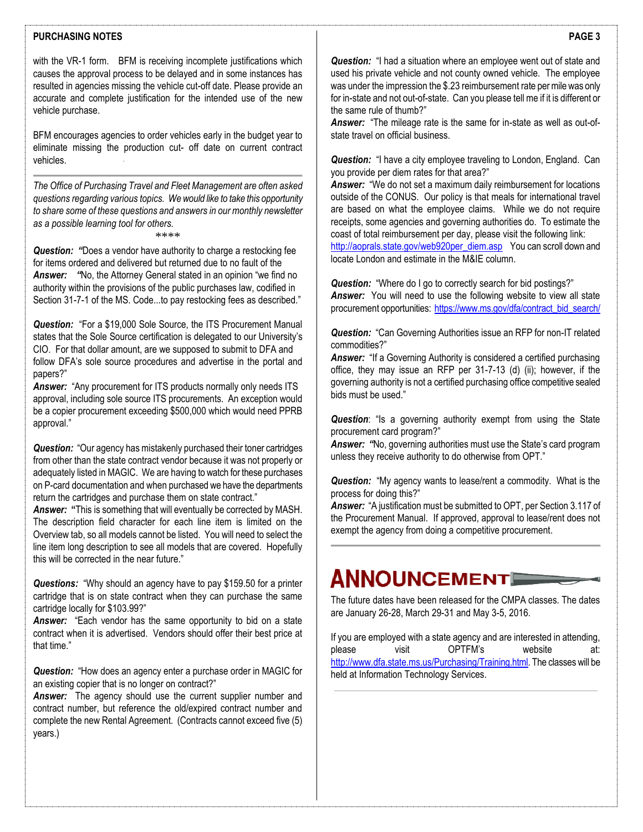#### **PURCHASING NOTES**

with the VR-1 form. BFM is receiving incomplete justifications which causes the approval process to be delayed and in some instances has resulted in agencies missing the vehicle cut-off date. Please provide an accurate and complete justification for the intended use of the new vehicle purchase.

BFM encourages agencies to order vehicles early in the budget year to eliminate missing the production cut- off date on current contract vehicles.

*The Office of Purchasing Travel and Fleet Management are often asked questions regarding various topics. We would like to take this opportunity to share some of these questions and answers in our monthly newsletter as a possible learning tool for others.* \*\*\*\*

**Question:** "Does a vendor have authority to charge a restocking fee for items ordered and delivered but returned due to no fault of the *Answer: "*No, the Attorney General stated in an opinion "we find no authority within the provisions of the public purchases law, codified in Section 31-7-1 of the MS. Code...to pay restocking fees as described."

*Question:* "For a \$19,000 Sole Source, the ITS Procurement Manual states that the Sole Source certification is delegated to our University's CIO. For that dollar amount, are we supposed to submit to DFA and follow DFA's sole source procedures and advertise in the portal and papers?"

*Answer:* "Any procurement for ITS products normally only needs ITS approval, including sole source ITS procurements. An exception would be a copier procurement exceeding \$500,000 which would need PPRB approval."

*Question:* "Our agency has mistakenly purchased their toner cartridges from other than the state contract vendor because it was not properly or adequately listed in MAGIC. We are having to watch for these purchases on P-card documentation and when purchased we have the departments return the cartridges and purchase them on state contract."

**Answer:** "This is something that will eventually be corrected by MASH. The description field character for each line item is limited on the Overview tab, so all models cannot be listed. You will need to select the line item long description to see all models that are covered. Hopefully this will be corrected in the near future."

*Questions:* "Why should an agency have to pay \$159.50 for a printer cartridge that is on state contract when they can purchase the same cartridge locally for \$103.99?"

*Answer:* "Each vendor has the same opportunity to bid on a state contract when it is advertised. Vendors should offer their best price at that time."

*Question:* "How does an agency enter a purchase order in MAGIC for an existing copier that is no longer on contract?"

*Answer:* The agency should use the current supplier number and contract number, but reference the old/expired contract number and complete the new Rental Agreement. (Contracts cannot exceed five (5) years.)

*Question:* "I had a situation where an employee went out of state and used his private vehicle and not county owned vehicle. The employee was under the impression the \$.23 reimbursement rate per mile was only for in-state and not out-of-state. Can you please tell me if it is different or the same rule of thumb?"

*Answer:* "The mileage rate is the same for in-state as well as out-ofstate travel on official business.

*Question:* "I have a city employee traveling to London, England. Can you provide per diem rates for that area?"

*Answer:* "We do not set a maximum daily reimbursement for locations outside of the CONUS. Our policy is that meals for international travel are based on what the employee claims. While we do not require receipts, some agencies and governing authorities do. To estimate the coast of total reimbursement per day, please visit the following link: [http://aoprals.state.gov/web920per\\_diem.asp](http://aoprals.state.gov/web920per_diem.asp) You can scroll down and

locate London and estimate in the M&IE column.

**Question:** "Where do I go to correctly search for bid postings?" Answer: You will need to use the following website to view all state procurement opportunities: [https://www.ms.gov/dfa/contract\\_bid\\_search/](https://www.ms.gov/dfa/contract_bid_search/)

*Question:* "Can Governing Authorities issue an RFP for non-IT related commodities?"

**Answer:** "If a Governing Authority is considered a certified purchasing office, they may issue an RFP per 31-7-13 (d) (ii); however, if the governing authority is not a certified purchasing office competitive sealed bids must be used."

*Question*: "Is a governing authority exempt from using the State procurement card program?"

*Answer: "*No, governing authorities must use the State's card program unless they receive authority to do otherwise from OPT."

*Question:* "My agency wants to lease/rent a commodity. What is the process for doing this?"

*Answer:* "A justification must be submitted to OPT, per Section 3.117 of the Procurement Manual. If approved, approval to lease/rent does not exempt the agency from doing a competitive procurement.

# ANNOUNCEMENT

The future dates have been released for the CMPA classes. The dates are January 26-28, March 29-31 and May 3-5, 2016.

If you are employed with a state agency and are interested in attending, please visit OPTFM's website at: [http://www.dfa.state.ms.us/Purchasing/Training.html.](http://www.dfa.state.ms.us/Purchasing/Training.html) The classes will be held at Information Technology Services.